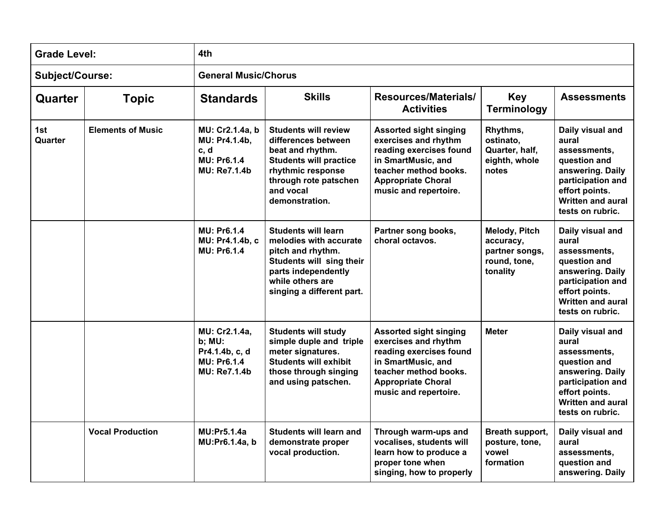| <b>Grade Level:</b><br>Subject/Course: |                          | 4th<br><b>General Music/Chorus</b>                                                     |                                                                                                                                                                                      |                                                                                                                                                                                       |                                                                          |                                                                                                                                                                      |  |  |
|----------------------------------------|--------------------------|----------------------------------------------------------------------------------------|--------------------------------------------------------------------------------------------------------------------------------------------------------------------------------------|---------------------------------------------------------------------------------------------------------------------------------------------------------------------------------------|--------------------------------------------------------------------------|----------------------------------------------------------------------------------------------------------------------------------------------------------------------|--|--|
|                                        |                          |                                                                                        |                                                                                                                                                                                      |                                                                                                                                                                                       |                                                                          |                                                                                                                                                                      |  |  |
| 1st<br>Quarter                         | <b>Elements of Music</b> | MU: Cr2.1.4a, b<br>MU: Pr4.1.4b,<br>c, d<br>MU: Pr6.1.4<br><b>MU: Re7.1.4b</b>         | <b>Students will review</b><br>differences between<br>beat and rhythm.<br><b>Students will practice</b><br>rhythmic response<br>through rote patschen<br>and vocal<br>demonstration. | <b>Assorted sight singing</b><br>exercises and rhythm<br>reading exercises found<br>in SmartMusic, and<br>teacher method books.<br><b>Appropriate Choral</b><br>music and repertoire. | Rhythms,<br>ostinato,<br>Quarter, half,<br>eighth, whole<br>notes        | Daily visual and<br>aural<br>assessments,<br>question and<br>answering. Daily<br>participation and<br>effort points.<br><b>Written and aural</b><br>tests on rubric. |  |  |
|                                        |                          | <b>MU: Pr6.1.4</b><br>MU: Pr4.1.4b, c<br>MU: Pr6.1.4                                   | <b>Students will learn</b><br>melodies with accurate<br>pitch and rhythm.<br>Students will sing their<br>parts independently<br>while others are<br>singing a different part.        | Partner song books,<br>choral octavos.                                                                                                                                                | Melody, Pitch<br>accuracy,<br>partner songs,<br>round, tone,<br>tonality | Daily visual and<br>aural<br>assessments,<br>question and<br>answering. Daily<br>participation and<br>effort points.<br><b>Written and aural</b><br>tests on rubric. |  |  |
|                                        |                          | MU: Cr2.1.4a,<br>b; MU:<br>Pr4.1.4b, c, d<br><b>MU: Pr6.1.4</b><br><b>MU: Re7.1.4b</b> | <b>Students will study</b><br>simple duple and triple<br>meter signatures.<br><b>Students will exhibit</b><br>those through singing<br>and using patschen.                           | <b>Assorted sight singing</b><br>exercises and rhythm<br>reading exercises found<br>in SmartMusic, and<br>teacher method books.<br><b>Appropriate Choral</b><br>music and repertoire. | <b>Meter</b>                                                             | Daily visual and<br>aural<br>assessments,<br>question and<br>answering. Daily<br>participation and<br>effort points.<br><b>Written and aural</b><br>tests on rubric. |  |  |
|                                        | <b>Vocal Production</b>  | <b>MU:Pr5.1.4a</b><br>MU:Pr6.1.4a, b                                                   | <b>Students will learn and</b><br>demonstrate proper<br>vocal production.                                                                                                            | Through warm-ups and<br>vocalises, students will<br>learn how to produce a<br>proper tone when<br>singing, how to properly                                                            | Breath support,<br>posture, tone,<br>vowel<br>formation                  | Daily visual and<br>aural<br>assessments,<br>question and<br>answering. Daily                                                                                        |  |  |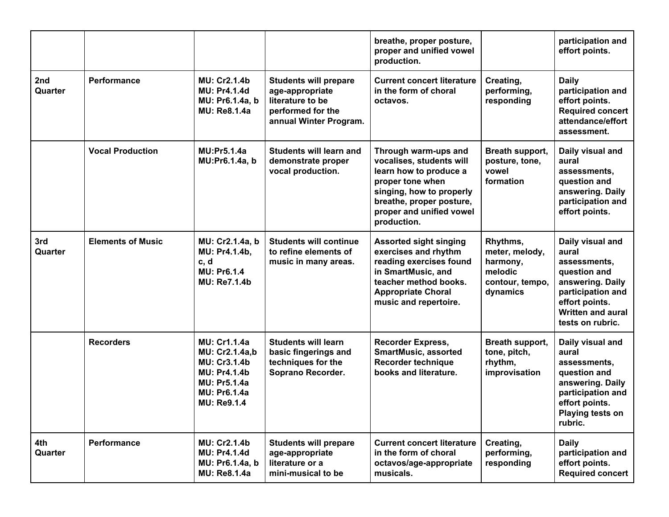|                |                          |                                                                                                                                                         |                                                                                                                    | breathe, proper posture,<br>proper and unified vowel<br>production.                                                                                                                               |                                                                                  | participation and<br>effort points.                                                                                                                                  |
|----------------|--------------------------|---------------------------------------------------------------------------------------------------------------------------------------------------------|--------------------------------------------------------------------------------------------------------------------|---------------------------------------------------------------------------------------------------------------------------------------------------------------------------------------------------|----------------------------------------------------------------------------------|----------------------------------------------------------------------------------------------------------------------------------------------------------------------|
| 2nd<br>Quarter | Performance              | <b>MU: Cr2.1.4b</b><br><b>MU: Pr4.1.4d</b><br>MU: Pr6.1.4a, b<br><b>MU: Re8.1.4a</b>                                                                    | <b>Students will prepare</b><br>age-appropriate<br>literature to be<br>performed for the<br>annual Winter Program. | <b>Current concert literature</b><br>in the form of choral<br>octavos.                                                                                                                            | Creating,<br>performing,<br>responding                                           | <b>Daily</b><br>participation and<br>effort points.<br><b>Required concert</b><br>attendance/effort<br>assessment.                                                   |
|                | <b>Vocal Production</b>  | <b>MU:Pr5.1.4a</b><br>MU:Pr6.1.4a, b                                                                                                                    | <b>Students will learn and</b><br>demonstrate proper<br>vocal production.                                          | Through warm-ups and<br>vocalises, students will<br>learn how to produce a<br>proper tone when<br>singing, how to properly<br>breathe, proper posture,<br>proper and unified vowel<br>production. | Breath support,<br>posture, tone,<br>vowel<br>formation                          | Daily visual and<br>aural<br>assessments,<br>question and<br>answering. Daily<br>participation and<br>effort points.                                                 |
| 3rd<br>Quarter | <b>Elements of Music</b> | MU: Cr2.1.4a, b<br>MU: Pr4.1.4b,<br>c, d<br><b>MU: Pr6.1.4</b><br><b>MU: Re7.1.4b</b>                                                                   | <b>Students will continue</b><br>to refine elements of<br>music in many areas.                                     | <b>Assorted sight singing</b><br>exercises and rhythm<br>reading exercises found<br>in SmartMusic, and<br>teacher method books.<br><b>Appropriate Choral</b><br>music and repertoire.             | Rhythms,<br>meter, melody,<br>harmony,<br>melodic<br>contour, tempo,<br>dynamics | Daily visual and<br>aural<br>assessments,<br>question and<br>answering. Daily<br>participation and<br>effort points.<br><b>Written and aural</b><br>tests on rubric. |
|                | <b>Recorders</b>         | <b>MU: Cr1.1.4a</b><br>MU: Cr2.1.4a,b<br><b>MU: Cr3.1.4b</b><br><b>MU: Pr4.1.4b</b><br><b>MU: Pr5.1.4a</b><br><b>MU: Pr6.1.4a</b><br><b>MU: Re9.1.4</b> | <b>Students will learn</b><br>basic fingerings and<br>techniques for the<br>Soprano Recorder.                      | <b>Recorder Express,</b><br><b>SmartMusic, assorted</b><br>Recorder technique<br>books and literature.                                                                                            | Breath support,<br>tone, pitch,<br>rhythm,<br>improvisation                      | Daily visual and<br>aural<br>assessments,<br>question and<br>answering. Daily<br>participation and<br>effort points.<br>Playing tests on<br>rubric.                  |
| 4th<br>Quarter | Performance              | <b>MU: Cr2.1.4b</b><br><b>MU: Pr4.1.4d</b><br>MU: Pr6.1.4a, b<br><b>MU: Re8.1.4a</b>                                                                    | <b>Students will prepare</b><br>age-appropriate<br>literature or a<br>mini-musical to be                           | <b>Current concert literature</b><br>in the form of choral<br>octavos/age-appropriate<br>musicals.                                                                                                | Creating,<br>performing,<br>responding                                           | <b>Daily</b><br>participation and<br>effort points.<br><b>Required concert</b>                                                                                       |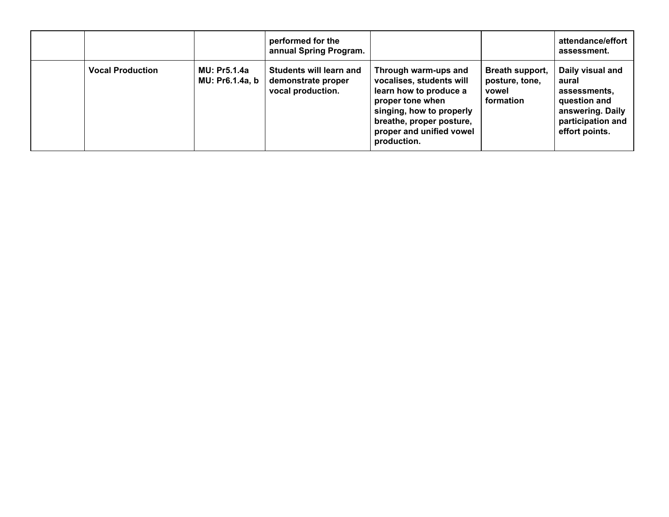|                         |                                        | performed for the<br>annual Spring Program.                               |                                                                                                                                                                                                   |                                                         | attendance/effort<br>assessment.                                                                                     |
|-------------------------|----------------------------------------|---------------------------------------------------------------------------|---------------------------------------------------------------------------------------------------------------------------------------------------------------------------------------------------|---------------------------------------------------------|----------------------------------------------------------------------------------------------------------------------|
| <b>Vocal Production</b> | <b>MU: Pr5.1.4a</b><br>MU: Pr6.1.4a, b | <b>Students will learn and</b><br>demonstrate proper<br>vocal production. | Through warm-ups and<br>vocalises, students will<br>learn how to produce a<br>proper tone when<br>singing, how to properly<br>breathe, proper posture,<br>proper and unified vowel<br>production. | Breath support,<br>posture, tone,<br>vowel<br>formation | Daily visual and<br>aural<br>assessments.<br>question and<br>answering. Daily<br>participation and<br>effort points. |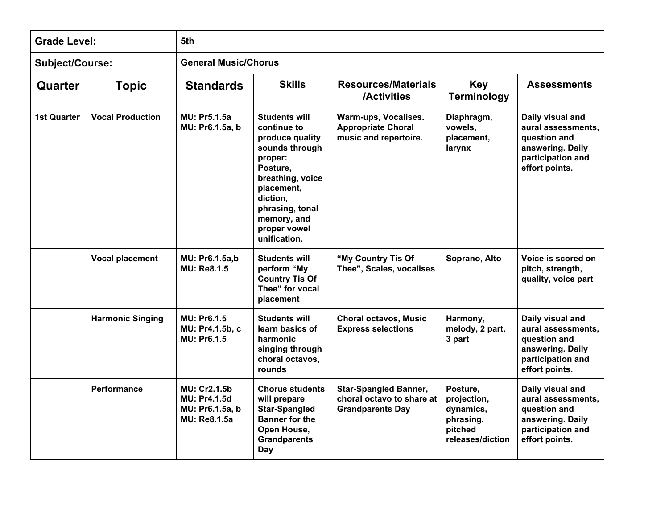| <b>Grade Level:</b>    |                         | 5th                                                                                  |                                                                                                                                                                                                                 |                                                                                      |                                                                                  |                                                                                                                   |  |  |  |
|------------------------|-------------------------|--------------------------------------------------------------------------------------|-----------------------------------------------------------------------------------------------------------------------------------------------------------------------------------------------------------------|--------------------------------------------------------------------------------------|----------------------------------------------------------------------------------|-------------------------------------------------------------------------------------------------------------------|--|--|--|
| <b>Subject/Course:</b> |                         | <b>General Music/Chorus</b>                                                          |                                                                                                                                                                                                                 |                                                                                      |                                                                                  |                                                                                                                   |  |  |  |
| Quarter                | <b>Topic</b>            | <b>Standards</b>                                                                     | <b>Skills</b>                                                                                                                                                                                                   | <b>Resources/Materials</b><br>/Activities                                            | <b>Key</b><br><b>Terminology</b>                                                 | <b>Assessments</b>                                                                                                |  |  |  |
| <b>1st Quarter</b>     | <b>Vocal Production</b> | <b>MU: Pr5.1.5a</b><br>MU: Pr6.1.5a, b                                               | <b>Students will</b><br>continue to<br>produce quality<br>sounds through<br>proper:<br>Posture,<br>breathing, voice<br>placement,<br>diction,<br>phrasing, tonal<br>memory, and<br>proper vowel<br>unification. | Warm-ups, Vocalises.<br><b>Appropriate Choral</b><br>music and repertoire.           | Diaphragm,<br>vowels,<br>placement,<br>larynx                                    | Daily visual and<br>aural assessments,<br>question and<br>answering. Daily<br>participation and<br>effort points. |  |  |  |
|                        | <b>Vocal placement</b>  | MU: Pr6.1.5a,b<br><b>MU: Re8.1.5</b>                                                 | <b>Students will</b><br>perform "My<br><b>Country Tis Of</b><br>Thee" for vocal<br>placement                                                                                                                    | "My Country Tis Of<br>Thee", Scales, vocalises                                       | Soprano, Alto                                                                    | Voice is scored on<br>pitch, strength,<br>quality, voice part                                                     |  |  |  |
|                        | <b>Harmonic Singing</b> | MU: Pr6.1.5<br>MU: Pr4.1.5b, c<br>MU: Pr6.1.5                                        | <b>Students will</b><br>learn basics of<br>harmonic<br>singing through<br>choral octavos,<br>rounds                                                                                                             | <b>Choral octavos, Music</b><br><b>Express selections</b>                            | Harmony,<br>melody, 2 part,<br>3 part                                            | Daily visual and<br>aural assessments,<br>question and<br>answering. Daily<br>participation and<br>effort points. |  |  |  |
|                        | <b>Performance</b>      | <b>MU: Cr2.1.5b</b><br><b>MU: Pr4.1.5d</b><br>MU: Pr6.1.5a, b<br><b>MU: Re8.1.5a</b> | <b>Chorus students</b><br>will prepare<br><b>Star-Spangled</b><br><b>Banner for the</b><br>Open House,<br><b>Grandparents</b><br>Day                                                                            | <b>Star-Spangled Banner,</b><br>choral octavo to share at<br><b>Grandparents Day</b> | Posture,<br>projection,<br>dynamics,<br>phrasing,<br>pitched<br>releases/diction | Daily visual and<br>aural assessments,<br>question and<br>answering. Daily<br>participation and<br>effort points. |  |  |  |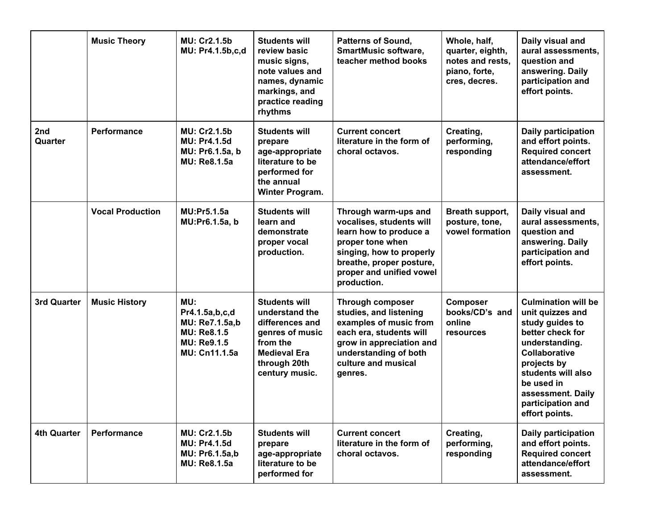|                    | <b>Music Theory</b>     | <b>MU: Cr2.1.5b</b><br>MU: Pr4.1.5b,c,d                                                              | <b>Students will</b><br>review basic<br>music signs,<br>note values and<br>names, dynamic<br>markings, and<br>practice reading<br>rhythms         | <b>Patterns of Sound,</b><br><b>SmartMusic software,</b><br>teacher method books                                                                                                                  | Whole, half,<br>quarter, eighth,<br>notes and rests,<br>piano, forte,<br>cres, decres. | Daily visual and<br>aural assessments,<br>question and<br>answering. Daily<br>participation and<br>effort points.                                                                                                                              |
|--------------------|-------------------------|------------------------------------------------------------------------------------------------------|---------------------------------------------------------------------------------------------------------------------------------------------------|---------------------------------------------------------------------------------------------------------------------------------------------------------------------------------------------------|----------------------------------------------------------------------------------------|------------------------------------------------------------------------------------------------------------------------------------------------------------------------------------------------------------------------------------------------|
| 2nd<br>Quarter     | <b>Performance</b>      | <b>MU: Cr2.1.5b</b><br><b>MU: Pr4.1.5d</b><br>MU: Pr6.1.5a, b<br><b>MU: Re8.1.5a</b>                 | <b>Students will</b><br>prepare<br>age-appropriate<br>literature to be<br>performed for<br>the annual<br>Winter Program.                          | <b>Current concert</b><br>literature in the form of<br>choral octavos.                                                                                                                            | Creating,<br>performing,<br>responding                                                 | Daily participation<br>and effort points.<br><b>Required concert</b><br>attendance/effort<br>assessment.                                                                                                                                       |
|                    | <b>Vocal Production</b> | <b>MU:Pr5.1.5a</b><br>MU:Pr6.1.5a, b                                                                 | <b>Students will</b><br>learn and<br>demonstrate<br>proper vocal<br>production.                                                                   | Through warm-ups and<br>vocalises, students will<br>learn how to produce a<br>proper tone when<br>singing, how to properly<br>breathe, proper posture,<br>proper and unified vowel<br>production. | Breath support,<br>posture, tone,<br>vowel formation                                   | Daily visual and<br>aural assessments,<br>question and<br>answering. Daily<br>participation and<br>effort points.                                                                                                                              |
| 3rd Quarter        | <b>Music History</b>    | MU:<br>Pr4.1.5a,b,c,d<br>MU: Re7.1.5a,b<br><b>MU: Re8.1.5</b><br><b>MU: Re9.1.5</b><br>MU: Cn11.1.5a | <b>Students will</b><br>understand the<br>differences and<br>genres of music<br>from the<br><b>Medieval Era</b><br>through 20th<br>century music. | Through composer<br>studies, and listening<br>examples of music from<br>each era, students will<br>grow in appreciation and<br>understanding of both<br>culture and musical<br>genres.            | Composer<br>books/CD's and<br>online<br>resources                                      | <b>Culmination will be</b><br>unit quizzes and<br>study guides to<br>better check for<br>understanding.<br><b>Collaborative</b><br>projects by<br>students will also<br>be used in<br>assessment. Daily<br>participation and<br>effort points. |
| <b>4th Quarter</b> | Performance             | <b>MU: Cr2.1.5b</b><br><b>MU: Pr4.1.5d</b><br><b>MU: Pr6.1.5a,b</b><br><b>MU: Re8.1.5a</b>           | <b>Students will</b><br>prepare<br>age-appropriate<br>literature to be<br>performed for                                                           | <b>Current concert</b><br>literature in the form of<br>choral octavos.                                                                                                                            | Creating,<br>performing,<br>responding                                                 | Daily participation<br>and effort points.<br><b>Required concert</b><br>attendance/effort<br>assessment.                                                                                                                                       |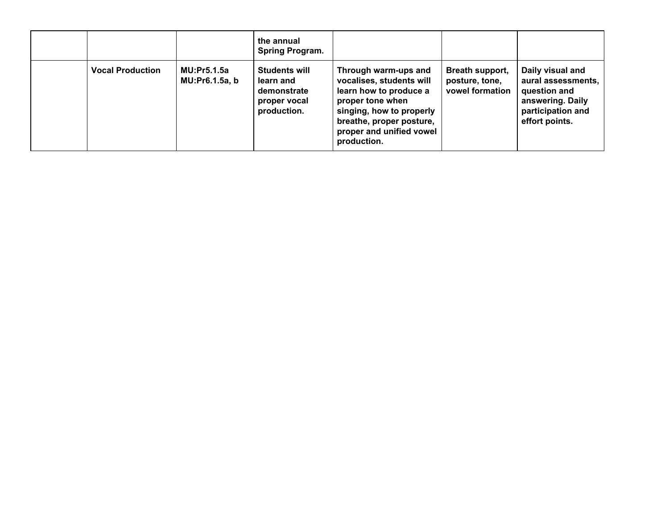|                         |                                      | the annual<br><b>Spring Program.</b>                                            |                                                                                                                                                                                                   |                                                      |                                                                                                                   |
|-------------------------|--------------------------------------|---------------------------------------------------------------------------------|---------------------------------------------------------------------------------------------------------------------------------------------------------------------------------------------------|------------------------------------------------------|-------------------------------------------------------------------------------------------------------------------|
| <b>Vocal Production</b> | <b>MU:Pr5.1.5a</b><br>MU:Pr6.1.5a, b | <b>Students will</b><br>learn and<br>demonstrate<br>proper vocal<br>production. | Through warm-ups and<br>vocalises, students will<br>learn how to produce a<br>proper tone when<br>singing, how to properly<br>breathe, proper posture,<br>proper and unified vowel<br>production. | Breath support,<br>posture, tone,<br>vowel formation | Daily visual and<br>aural assessments,<br>question and<br>answering. Daily<br>participation and<br>effort points. |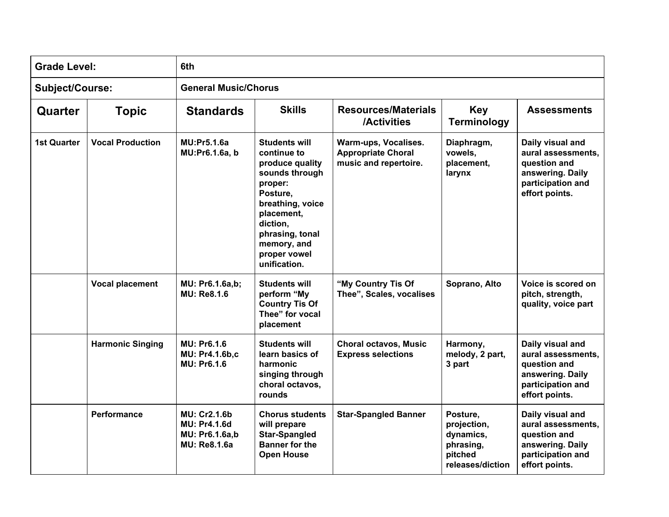| <b>Grade Level:</b>    |                         | 6th                                                                                 |                                                                                                                                                                                                                 |                                                                            |                                                                                  |                                                                                                                   |  |  |  |
|------------------------|-------------------------|-------------------------------------------------------------------------------------|-----------------------------------------------------------------------------------------------------------------------------------------------------------------------------------------------------------------|----------------------------------------------------------------------------|----------------------------------------------------------------------------------|-------------------------------------------------------------------------------------------------------------------|--|--|--|
| <b>Subject/Course:</b> |                         | <b>General Music/Chorus</b>                                                         |                                                                                                                                                                                                                 |                                                                            |                                                                                  |                                                                                                                   |  |  |  |
| Quarter                | <b>Topic</b>            | <b>Standards</b>                                                                    | <b>Skills</b><br><b>Resources/Materials</b><br><b>Key</b><br><b>Assessments</b><br><b>Terminology</b><br>/Activities                                                                                            |                                                                            |                                                                                  |                                                                                                                   |  |  |  |
| <b>1st Quarter</b>     | <b>Vocal Production</b> | <b>MU:Pr5.1.6a</b><br>MU:Pr6.1.6a, b                                                | <b>Students will</b><br>continue to<br>produce quality<br>sounds through<br>proper:<br>Posture,<br>breathing, voice<br>placement,<br>diction,<br>phrasing, tonal<br>memory, and<br>proper vowel<br>unification. | Warm-ups, Vocalises.<br><b>Appropriate Choral</b><br>music and repertoire. | Diaphragm,<br>vowels,<br>placement,<br>larynx                                    | Daily visual and<br>aural assessments,<br>question and<br>answering. Daily<br>participation and<br>effort points. |  |  |  |
|                        | <b>Vocal placement</b>  | MU: Pr6.1.6a,b;<br><b>MU: Re8.1.6</b>                                               | <b>Students will</b><br>perform "My<br><b>Country Tis Of</b><br>Thee" for vocal<br>placement                                                                                                                    | "My Country Tis Of<br>Thee", Scales, vocalises                             | Soprano, Alto                                                                    | Voice is scored on<br>pitch, strength,<br>quality, voice part                                                     |  |  |  |
|                        | <b>Harmonic Singing</b> | <b>MU: Pr6.1.6</b><br>MU: Pr4.1.6b,c<br><b>MU: Pr6.1.6</b>                          | <b>Students will</b><br>learn basics of<br>harmonic<br>singing through<br>choral octavos,<br>rounds                                                                                                             | <b>Choral octavos, Music</b><br><b>Express selections</b>                  | Harmony,<br>melody, 2 part,<br>3 part                                            | Daily visual and<br>aural assessments,<br>question and<br>answering. Daily<br>participation and<br>effort points. |  |  |  |
|                        | <b>Performance</b>      | <b>MU: Cr2.1.6b</b><br><b>MU: Pr4.1.6d</b><br>MU: Pr6.1.6a,b<br><b>MU: Re8.1.6a</b> | <b>Chorus students</b><br>will prepare<br><b>Star-Spangled</b><br><b>Banner for the</b><br><b>Open House</b>                                                                                                    | <b>Star-Spangled Banner</b>                                                | Posture,<br>projection,<br>dynamics,<br>phrasing,<br>pitched<br>releases/diction | Daily visual and<br>aural assessments,<br>question and<br>answering. Daily<br>participation and<br>effort points. |  |  |  |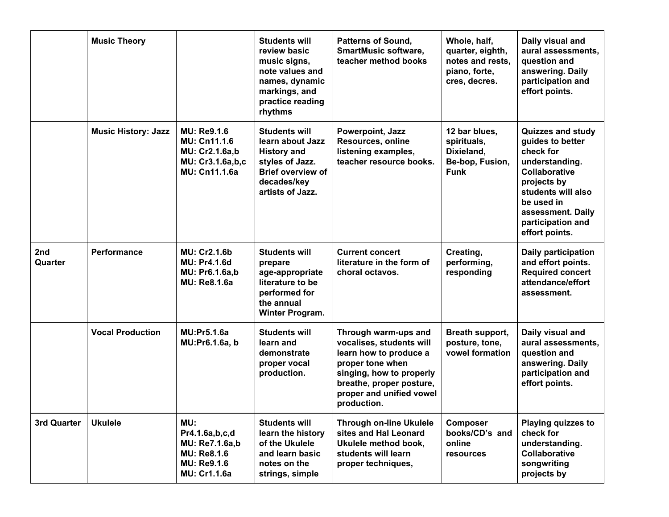|                | <b>Music Theory</b>        |                                                                                                                   | <b>Students will</b><br>review basic<br>music signs,<br>note values and<br>names, dynamic<br>markings, and<br>practice reading<br>rhythms        | <b>Patterns of Sound,</b><br><b>SmartMusic software,</b><br>teacher method books                                                                                                                  | Whole, half,<br>quarter, eighth,<br>notes and rests,<br>piano, forte,<br>cres, decres. | Daily visual and<br>aural assessments,<br>question and<br>answering. Daily<br>participation and<br>effort points.                                                                                                  |
|----------------|----------------------------|-------------------------------------------------------------------------------------------------------------------|--------------------------------------------------------------------------------------------------------------------------------------------------|---------------------------------------------------------------------------------------------------------------------------------------------------------------------------------------------------|----------------------------------------------------------------------------------------|--------------------------------------------------------------------------------------------------------------------------------------------------------------------------------------------------------------------|
|                | <b>Music History: Jazz</b> | <b>MU: Re9.1.6</b><br><b>MU: Cn11.1.6</b><br><b>MU: Cr2.1.6a,b</b><br>MU: Cr3.1.6a,b,c<br>MU: Cn11.1.6a           | <b>Students will</b><br>learn about Jazz<br><b>History and</b><br>styles of Jazz.<br><b>Brief overview of</b><br>decades/key<br>artists of Jazz. | Powerpoint, Jazz<br>Resources, online<br>listening examples,<br>teacher resource books.                                                                                                           | 12 bar blues,<br>spirituals,<br>Dixieland,<br>Be-bop, Fusion,<br><b>Funk</b>           | <b>Quizzes and study</b><br>guides to better<br>check for<br>understanding.<br><b>Collaborative</b><br>projects by<br>students will also<br>be used in<br>assessment. Daily<br>participation and<br>effort points. |
| 2nd<br>Quarter | <b>Performance</b>         | <b>MU: Cr2.1.6b</b><br><b>MU: Pr4.1.6d</b><br><b>MU: Pr6.1.6a,b</b><br><b>MU: Re8.1.6a</b>                        | <b>Students will</b><br>prepare<br>age-appropriate<br>literature to be<br>performed for<br>the annual<br><b>Winter Program.</b>                  | <b>Current concert</b><br>literature in the form of<br>choral octavos.                                                                                                                            | Creating,<br>performing,<br>responding                                                 | Daily participation<br>and effort points.<br><b>Required concert</b><br>attendance/effort<br>assessment.                                                                                                           |
|                | <b>Vocal Production</b>    | <b>MU:Pr5.1.6a</b><br>MU:Pr6.1.6a, b                                                                              | <b>Students will</b><br>learn and<br>demonstrate<br>proper vocal<br>production.                                                                  | Through warm-ups and<br>vocalises, students will<br>learn how to produce a<br>proper tone when<br>singing, how to properly<br>breathe, proper posture,<br>proper and unified vowel<br>production. | Breath support,<br>posture, tone,<br>vowel formation                                   | Daily visual and<br>aural assessments,<br>question and<br>answering. Daily<br>participation and<br>effort points.                                                                                                  |
| 3rd Quarter    | <b>Ukulele</b>             | MU:<br>Pr4.1.6a,b,c,d<br><b>MU: Re7.1.6a,b</b><br><b>MU: Re8.1.6</b><br><b>MU: Re9.1.6</b><br><b>MU: Cr1.1.6a</b> | <b>Students will</b><br>learn the history<br>of the Ukulele<br>and learn basic<br>notes on the<br>strings, simple                                | <b>Through on-line Ukulele</b><br>sites and Hal Leonard<br>Ukulele method book,<br>students will learn<br>proper techniques,                                                                      | <b>Composer</b><br>books/CD's and<br>online<br>resources                               | Playing quizzes to<br>check for<br>understanding.<br>Collaborative<br>songwriting<br>projects by                                                                                                                   |